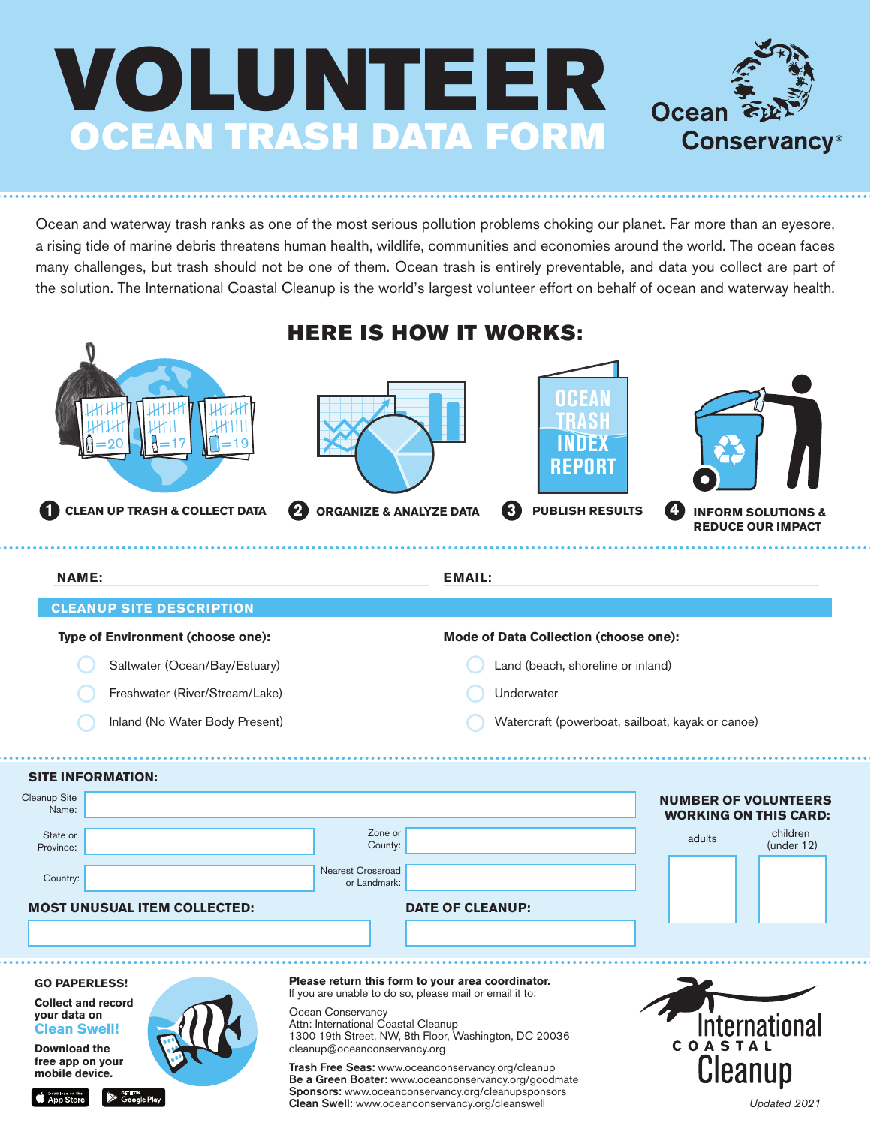

Ocean and waterway trash ranks as one of the most serious pollution problems choking our planet. Far more than an eyesore, a rising tide of marine debris threatens human health, wildlife, communities and economies around the world. The ocean faces many challenges, but trash should not be one of them. Ocean trash is entirely preventable, and data you collect are part of the solution. The International Coastal Cleanup is the world's largest volunteer effort on behalf of ocean and waterway health.